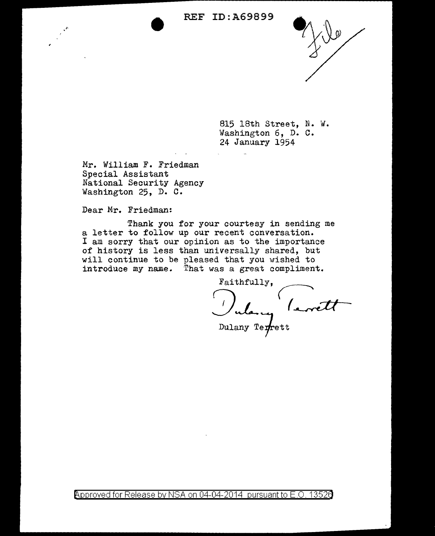REF ID:A69899



815 18th Street, N. w. Washington 6, D. C. 24 January 1954

Mr. William F. Friedman Special Assistant National Security Agency Washington 25, D. C.

Dear Mr. Friedman:

Thank you for your courtesy in sending me a letter to follow up our recent conversation. I am sorry that our opinion as to the importance of history is less than universally shared, but will continue to be pleased that you wished to will continue to be pleased that you wished to<br>introduce my name. That was a great compliment.<br>Faithfully,

Faithfully, and the second of the second of the second to the second the second to the second the second to the second the second term is the second to the second term is the second term is the second term is the second te  $D$ ulany Terrett

Approved for Release by NSA on 04-04-2014 pursuant to E.O. 13526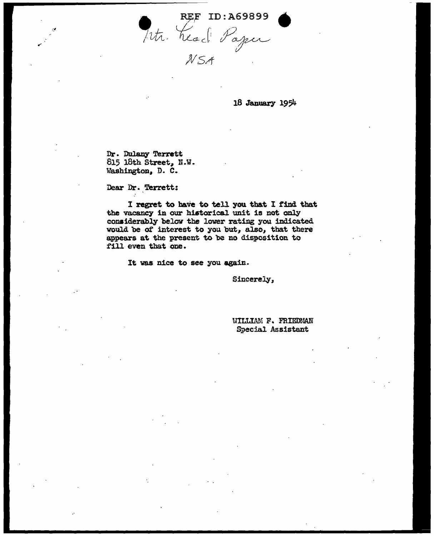REF ID: A69899 Itte Magnet

18 January 1954

Dr. Dulany Terrett 815 18th Street, N.W. Washington, D. C.

Dear Dr. Terrett:

I regret to have to tell you that I find that the vacancy in our historical unit is not only considerably below the lower rating you indicated would be of interest to you but, also, that there appears at the present to be no disposition to fill even that one.

It was nice to see you again.

Sincerely,,

WILLIAM F. FRIEDMAN Special Assistant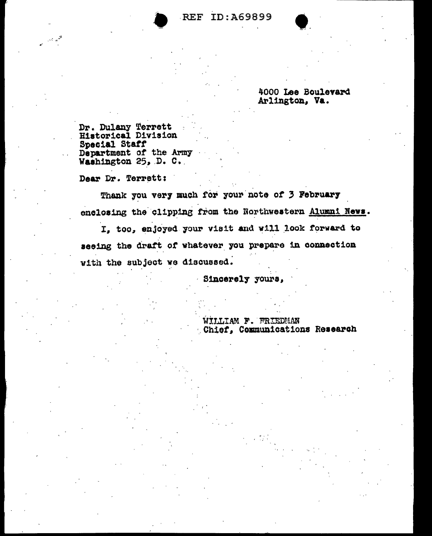**REF ID: A69899** 

4000 Lee Boulevard Arlington, Va.

Dr. Dulany Terrett<br>Historical Division Special Staff Department of the Army Washington 25, D. C.

Dear Dr. Terrett:

الی در

Thank you very much for your note of 3 February enclosing the clipping from the Northwestern Alumni News.

I. too, enjoyed your visit and will look forward to seeing the draft of whatever you prepare in connection with the subject we discussed.

Sincerely yours,

WILLIAM F. FRIEDMAN Chief, Communications Research